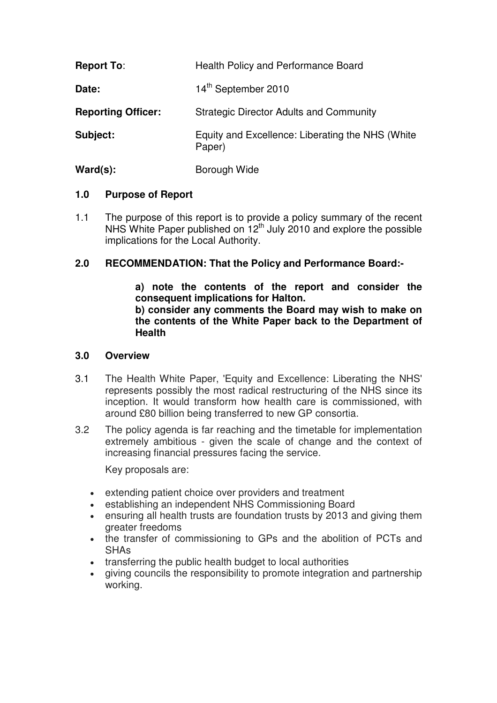| <b>Report To:</b>         | <b>Health Policy and Performance Board</b>                 |
|---------------------------|------------------------------------------------------------|
| Date:                     | 14th September 2010                                        |
| <b>Reporting Officer:</b> | <b>Strategic Director Adults and Community</b>             |
| Subject:                  | Equity and Excellence: Liberating the NHS (White<br>Paper) |
| $\text{Ward}(s)$ :        | Borough Wide                                               |

# **1.0 Purpose of Report**

1.1 The purpose of this report is to provide a policy summary of the recent NHS White Paper published on  $12<sup>th</sup>$  July 2010 and explore the possible implications for the Local Authority.

# **2.0 RECOMMENDATION: That the Policy and Performance Board:-**

**a) note the contents of the report and consider the consequent implications for Halton. b) consider any comments the Board may wish to make on the contents of the White Paper back to the Department of Health** 

### **3.0 Overview**

- 3.1 The Health White Paper, 'Equity and Excellence: Liberating the NHS' represents possibly the most radical restructuring of the NHS since its inception. It would transform how health care is commissioned, with around £80 billion being transferred to new GP consortia.
- 3.2 The policy agenda is far reaching and the timetable for implementation extremely ambitious - given the scale of change and the context of increasing financial pressures facing the service.

Key proposals are:

- extending patient choice over providers and treatment
- establishing an independent NHS Commissioning Board
- ensuring all health trusts are foundation trusts by 2013 and giving them greater freedoms
- the transfer of commissioning to GPs and the abolition of PCTs and SHAs
- transferring the public health budget to local authorities
- giving councils the responsibility to promote integration and partnership working.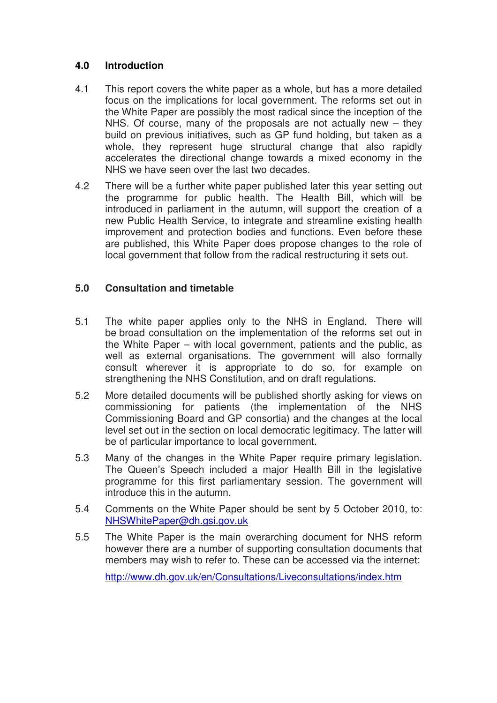# **4.0 Introduction**

- 4.1 This report covers the white paper as a whole, but has a more detailed focus on the implications for local government. The reforms set out in the White Paper are possibly the most radical since the inception of the NHS. Of course, many of the proposals are not actually new – they build on previous initiatives, such as GP fund holding, but taken as a whole, they represent huge structural change that also rapidly accelerates the directional change towards a mixed economy in the NHS we have seen over the last two decades.
- 4.2 There will be a further white paper published later this year setting out the programme for public health. The Health Bill, which will be introduced in parliament in the autumn, will support the creation of a new Public Health Service, to integrate and streamline existing health improvement and protection bodies and functions. Even before these are published, this White Paper does propose changes to the role of local government that follow from the radical restructuring it sets out.

# **5.0 Consultation and timetable**

- 5.1 The white paper applies only to the NHS in England. There will be broad consultation on the implementation of the reforms set out in the White Paper – with local government, patients and the public, as well as external organisations. The government will also formally consult wherever it is appropriate to do so, for example on strengthening the NHS Constitution, and on draft regulations.
- 5.2 More detailed documents will be published shortly asking for views on commissioning for patients (the implementation of the NHS Commissioning Board and GP consortia) and the changes at the local level set out in the section on local democratic legitimacy. The latter will be of particular importance to local government.
- 5.3 Many of the changes in the White Paper require primary legislation. The Queen's Speech included a major Health Bill in the legislative programme for this first parliamentary session. The government will introduce this in the autumn.
- 5.4 Comments on the White Paper should be sent by 5 October 2010, to: NHSWhitePaper@dh.gsi.gov.uk
- 5.5 The White Paper is the main overarching document for NHS reform however there are a number of supporting consultation documents that members may wish to refer to. These can be accessed via the internet:

http://www.dh.gov.uk/en/Consultations/Liveconsultations/index.htm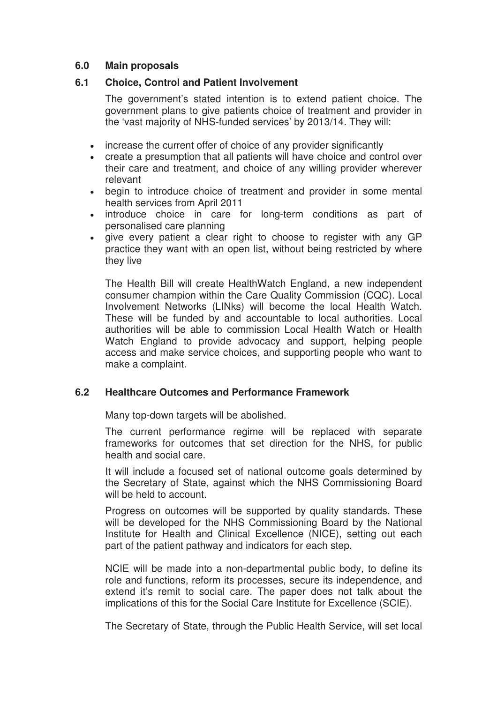### **6.0 Main proposals**

### **6.1 Choice, Control and Patient Involvement**

 The government's stated intention is to extend patient choice. The government plans to give patients choice of treatment and provider in the 'vast majority of NHS-funded services' by 2013/14. They will:

- increase the current offer of choice of any provider significantly
- create a presumption that all patients will have choice and control over their care and treatment, and choice of any willing provider wherever relevant
- begin to introduce choice of treatment and provider in some mental health services from April 2011
- introduce choice in care for long-term conditions as part of personalised care planning
- give every patient a clear right to choose to register with any GP practice they want with an open list, without being restricted by where they live

The Health Bill will create HealthWatch England, a new independent consumer champion within the Care Quality Commission (CQC). Local Involvement Networks (LINks) will become the local Health Watch. These will be funded by and accountable to local authorities. Local authorities will be able to commission Local Health Watch or Health Watch England to provide advocacy and support, helping people access and make service choices, and supporting people who want to make a complaint.

### **6.2 Healthcare Outcomes and Performance Framework**

Many top-down targets will be abolished.

The current performance regime will be replaced with separate frameworks for outcomes that set direction for the NHS, for public health and social care.

It will include a focused set of national outcome goals determined by the Secretary of State, against which the NHS Commissioning Board will be held to account.

Progress on outcomes will be supported by quality standards. These will be developed for the NHS Commissioning Board by the National Institute for Health and Clinical Excellence (NICE), setting out each part of the patient pathway and indicators for each step.

NCIE will be made into a non-departmental public body, to define its role and functions, reform its processes, secure its independence, and extend it's remit to social care. The paper does not talk about the implications of this for the Social Care Institute for Excellence (SCIE).

The Secretary of State, through the Public Health Service, will set local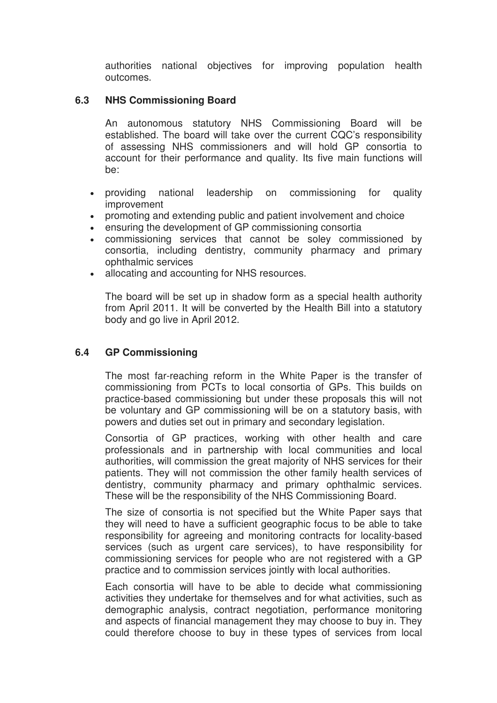authorities national objectives for improving population health outcomes.

### **6.3 NHS Commissioning Board**

An autonomous statutory NHS Commissioning Board will be established. The board will take over the current CQC's responsibility of assessing NHS commissioners and will hold GP consortia to account for their performance and quality. Its five main functions will be:

- providing national leadership on commissioning for quality improvement
- promoting and extending public and patient involvement and choice
- ensuring the development of GP commissioning consortia
- commissioning services that cannot be soley commissioned by consortia, including dentistry, community pharmacy and primary ophthalmic services
- allocating and accounting for NHS resources.

The board will be set up in shadow form as a special health authority from April 2011. It will be converted by the Health Bill into a statutory body and go live in April 2012.

### **6.4 GP Commissioning**

The most far-reaching reform in the White Paper is the transfer of commissioning from PCTs to local consortia of GPs. This builds on practice-based commissioning but under these proposals this will not be voluntary and GP commissioning will be on a statutory basis, with powers and duties set out in primary and secondary legislation.

Consortia of GP practices, working with other health and care professionals and in partnership with local communities and local authorities, will commission the great majority of NHS services for their patients. They will not commission the other family health services of dentistry, community pharmacy and primary ophthalmic services. These will be the responsibility of the NHS Commissioning Board.

The size of consortia is not specified but the White Paper says that they will need to have a sufficient geographic focus to be able to take responsibility for agreeing and monitoring contracts for locality-based services (such as urgent care services), to have responsibility for commissioning services for people who are not registered with a GP practice and to commission services jointly with local authorities.

Each consortia will have to be able to decide what commissioning activities they undertake for themselves and for what activities, such as demographic analysis, contract negotiation, performance monitoring and aspects of financial management they may choose to buy in. They could therefore choose to buy in these types of services from local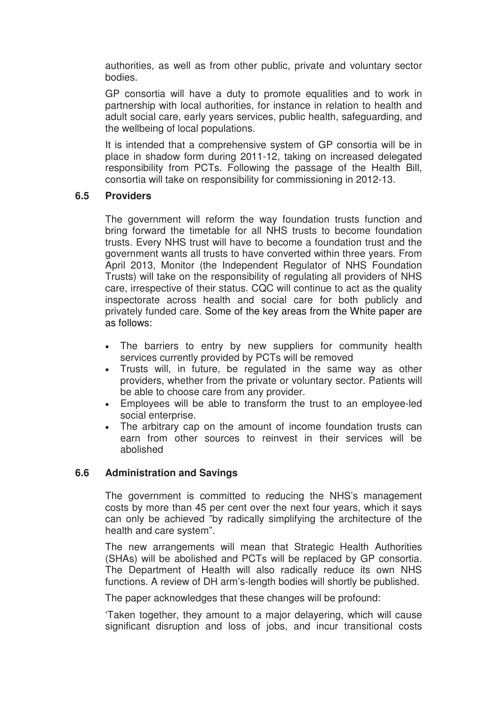authorities, as well as from other public, private and voluntary sector bodies.

GP consortia will have a duty to promote equalities and to work in partnership with local authorities, for instance in relation to health and adult social care, early years services, public health, safeguarding, and the wellbeing of local populations.

It is intended that a comprehensive system of GP consortia will be in place in shadow form during 2011-12, taking on increased delegated responsibility from PCTs. Following the passage of the Health Bill, consortia will take on responsibility for commissioning in 2012-13.

### **6.5 Providers**

The government will reform the way foundation trusts function and bring forward the timetable for all NHS trusts to become foundation trusts. Every NHS trust will have to become a foundation trust and the government wants all trusts to have converted within three years. From April 2013, Monitor (the Independent Regulator of NHS Foundation Trusts) will take on the responsibility of regulating all providers of NHS care, irrespective of their status. CQC will continue to act as the quality inspectorate across health and social care for both publicly and privately funded care. Some of the key areas from the White paper are as follows:

- The barriers to entry by new suppliers for community health services currently provided by PCTs will be removed
- Trusts will, in future, be regulated in the same way as other providers, whether from the private or voluntary sector. Patients will be able to choose care from any provider.
- Employees will be able to transform the trust to an employee-led social enterprise.
- The arbitrary cap on the amount of income foundation trusts can earn from other sources to reinvest in their services will be abolished

### **6.6 Administration and Savings**

The government is committed to reducing the NHS's management costs by more than 45 per cent over the next four years, which it says can only be achieved "by radically simplifying the architecture of the health and care system".

The new arrangements will mean that Strategic Health Authorities (SHAs) will be abolished and PCTs will be replaced by GP consortia. The Department of Health will also radically reduce its own NHS functions. A review of DH arm's-length bodies will shortly be published.

The paper acknowledges that these changes will be profound:

'Taken together, they amount to a major delayering, which will cause significant disruption and loss of jobs, and incur transitional costs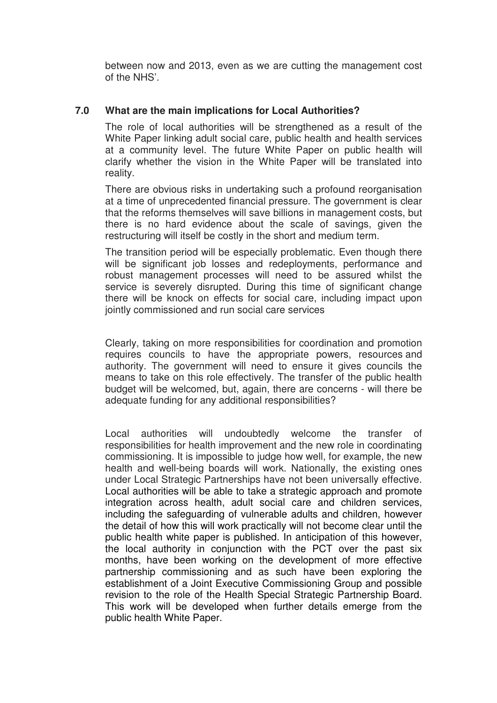between now and 2013, even as we are cutting the management cost of the NHS'.

### **7.0 What are the main implications for Local Authorities?**

The role of local authorities will be strengthened as a result of the White Paper linking adult social care, public health and health services at a community level. The future White Paper on public health will clarify whether the vision in the White Paper will be translated into reality.

There are obvious risks in undertaking such a profound reorganisation at a time of unprecedented financial pressure. The government is clear that the reforms themselves will save billions in management costs, but there is no hard evidence about the scale of savings, given the restructuring will itself be costly in the short and medium term.

The transition period will be especially problematic. Even though there will be significant job losses and redeployments, performance and robust management processes will need to be assured whilst the service is severely disrupted. During this time of significant change there will be knock on effects for social care, including impact upon jointly commissioned and run social care services

Clearly, taking on more responsibilities for coordination and promotion requires councils to have the appropriate powers, resources and authority. The government will need to ensure it gives councils the means to take on this role effectively. The transfer of the public health budget will be welcomed, but, again, there are concerns - will there be adequate funding for any additional responsibilities?

Local authorities will undoubtedly welcome the transfer of responsibilities for health improvement and the new role in coordinating commissioning. It is impossible to judge how well, for example, the new health and well-being boards will work. Nationally, the existing ones under Local Strategic Partnerships have not been universally effective. Local authorities will be able to take a strategic approach and promote integration across health, adult social care and children services, including the safeguarding of vulnerable adults and children, however the detail of how this will work practically will not become clear until the public health white paper is published. In anticipation of this however, the local authority in conjunction with the PCT over the past six months, have been working on the development of more effective partnership commissioning and as such have been exploring the establishment of a Joint Executive Commissioning Group and possible revision to the role of the Health Special Strategic Partnership Board. This work will be developed when further details emerge from the public health White Paper.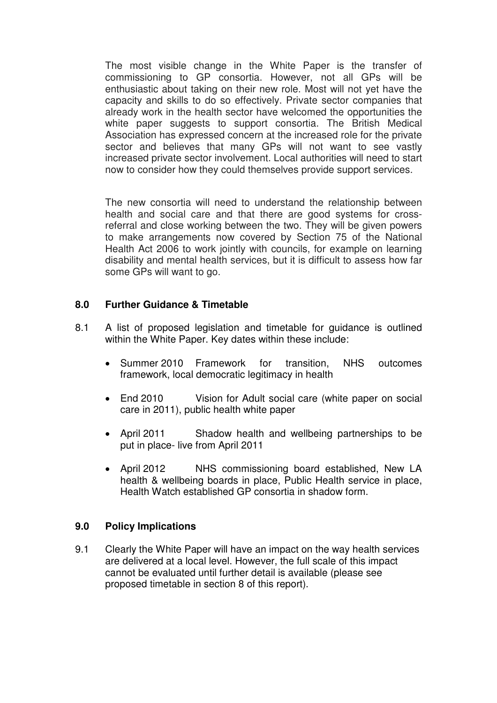The most visible change in the White Paper is the transfer of commissioning to GP consortia. However, not all GPs will be enthusiastic about taking on their new role. Most will not yet have the capacity and skills to do so effectively. Private sector companies that already work in the health sector have welcomed the opportunities the white paper suggests to support consortia. The British Medical Association has expressed concern at the increased role for the private sector and believes that many GPs will not want to see vastly increased private sector involvement. Local authorities will need to start now to consider how they could themselves provide support services.

The new consortia will need to understand the relationship between health and social care and that there are good systems for crossreferral and close working between the two. They will be given powers to make arrangements now covered by Section 75 of the National Health Act 2006 to work jointly with councils, for example on learning disability and mental health services, but it is difficult to assess how far some GPs will want to go.

### **8.0 Further Guidance & Timetable**

- 8.1 A list of proposed legislation and timetable for guidance is outlined within the White Paper. Key dates within these include:
	- Summer 2010 Framework for transition, NHS outcomes framework, local democratic legitimacy in health
	- End 2010 Vision for Adult social care (white paper on social care in 2011), public health white paper
	- April 2011 Shadow health and wellbeing partnerships to be put in place- live from April 2011
	- April 2012 NHS commissioning board established, New LA health & wellbeing boards in place, Public Health service in place, Health Watch established GP consortia in shadow form.

### **9.0 Policy Implications**

9.1 Clearly the White Paper will have an impact on the way health services are delivered at a local level. However, the full scale of this impact cannot be evaluated until further detail is available (please see proposed timetable in section 8 of this report).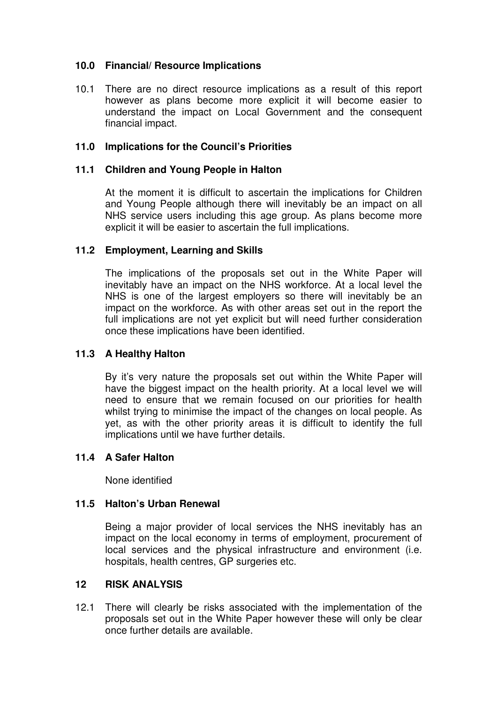### **10.0 Financial/ Resource Implications**

10.1 There are no direct resource implications as a result of this report however as plans become more explicit it will become easier to understand the impact on Local Government and the consequent financial impact.

### **11.0 Implications for the Council's Priorities**

### **11.1 Children and Young People in Halton**

 At the moment it is difficult to ascertain the implications for Children and Young People although there will inevitably be an impact on all NHS service users including this age group. As plans become more explicit it will be easier to ascertain the full implications.

### **11.2 Employment, Learning and Skills**

 The implications of the proposals set out in the White Paper will inevitably have an impact on the NHS workforce. At a local level the NHS is one of the largest employers so there will inevitably be an impact on the workforce. As with other areas set out in the report the full implications are not yet explicit but will need further consideration once these implications have been identified.

### **11.3 A Healthy Halton**

 By it's very nature the proposals set out within the White Paper will have the biggest impact on the health priority. At a local level we will need to ensure that we remain focused on our priorities for health whilst trying to minimise the impact of the changes on local people. As yet, as with the other priority areas it is difficult to identify the full implications until we have further details.

### **11.4 A Safer Halton**

None identified

### **11.5 Halton's Urban Renewal**

Being a major provider of local services the NHS inevitably has an impact on the local economy in terms of employment, procurement of local services and the physical infrastructure and environment (i.e. hospitals, health centres, GP surgeries etc.

### **12 RISK ANALYSIS**

12.1 There will clearly be risks associated with the implementation of the proposals set out in the White Paper however these will only be clear once further details are available.